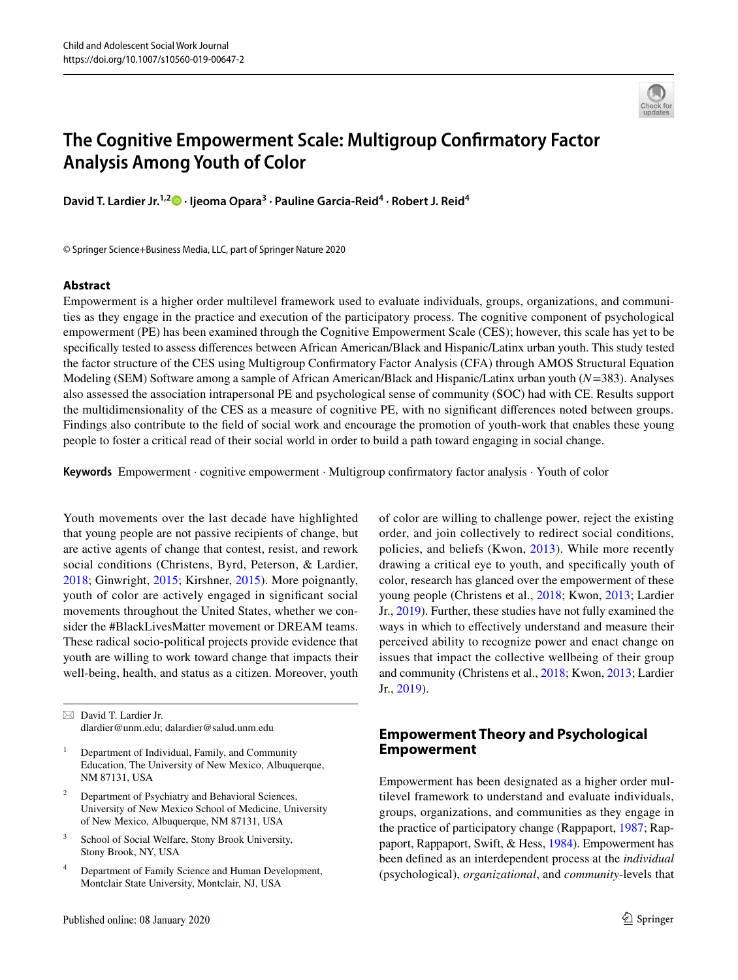

# **The Cognitive Empowerment Scale: Multigroup Confrmatory Factor Analysis Among Youth of Color**

David T. Lardier Jr.<sup>1,2</sup><sup>0</sup> [·](http://orcid.org/0000-0002-7236-2049) Ijeoma Opara<sup>3</sup> · Pauline Garcia-Reid<sup>4</sup> · Robert J. Reid<sup>4</sup>

© Springer Science+Business Media, LLC, part of Springer Nature 2020

#### **Abstract**

Empowerment is a higher order multilevel framework used to evaluate individuals, groups, organizations, and communities as they engage in the practice and execution of the participatory process. The cognitive component of psychological empowerment (PE) has been examined through the Cognitive Empowerment Scale (CES); however, this scale has yet to be specifcally tested to assess diferences between African American/Black and Hispanic/Latinx urban youth. This study tested the factor structure of the CES using Multigroup Confrmatory Factor Analysis (CFA) through AMOS Structural Equation Modeling (SEM) Software among a sample of African American/Black and Hispanic/Latinx urban youth (*N*=383). Analyses also assessed the association intrapersonal PE and psychological sense of community (SOC) had with CE. Results support the multidimensionality of the CES as a measure of cognitive PE, with no signifcant diferences noted between groups. Findings also contribute to the feld of social work and encourage the promotion of youth-work that enables these young people to foster a critical read of their social world in order to build a path toward engaging in social change.

**Keywords** Empowerment · cognitive empowerment · Multigroup confrmatory factor analysis · Youth of color

Youth movements over the last decade have highlighted that young people are not passive recipients of change, but are active agents of change that contest, resist, and rework social conditions (Christens, Byrd, Peterson, & Lardier, [2018](#page-12-0); Ginwright, [2015](#page-12-1); Kirshner, [2015\)](#page-12-2). More poignantly, youth of color are actively engaged in signifcant social movements throughout the United States, whether we consider the #BlackLivesMatter movement or DREAM teams. These radical socio-political projects provide evidence that youth are willing to work toward change that impacts their well-being, health, and status as a citizen. Moreover, youth

 $\boxtimes$  David T. Lardier Jr. dlardier@unm.edu; dalardier@salud.unm.edu

- <sup>1</sup> Department of Individual, Family, and Community Education, The University of New Mexico, Albuquerque, NM 87131, USA
- <sup>2</sup> Department of Psychiatry and Behavioral Sciences, University of New Mexico School of Medicine, University of New Mexico, Albuquerque, NM 87131, USA
- <sup>3</sup> School of Social Welfare, Stony Brook University, Stony Brook, NY, USA
- <sup>4</sup> Department of Family Science and Human Development, Montclair State University, Montclair, NJ, USA

of color are willing to challenge power, reject the existing order, and join collectively to redirect social conditions, policies, and beliefs (Kwon, [2013\)](#page-12-3). While more recently drawing a critical eye to youth, and specifcally youth of color, research has glanced over the empowerment of these young people (Christens et al., [2018](#page-12-0); Kwon, [2013;](#page-12-3) Lardier Jr., [2019\)](#page-12-4). Further, these studies have not fully examined the ways in which to efectively understand and measure their perceived ability to recognize power and enact change on issues that impact the collective wellbeing of their group and community (Christens et al., [2018;](#page-12-0) Kwon, [2013;](#page-12-3) Lardier Jr., [2019\)](#page-12-4).

# **Empowerment Theory and Psychological Empowerment**

Empowerment has been designated as a higher order multilevel framework to understand and evaluate individuals, groups, organizations, and communities as they engage in the practice of participatory change (Rappaport, [1987;](#page-13-0) Rappaport, Rappaport, Swift, & Hess, [1984\)](#page-13-1). Empowerment has been defned as an interdependent process at the *individual* (psychological), *organizational*, and *community*-levels that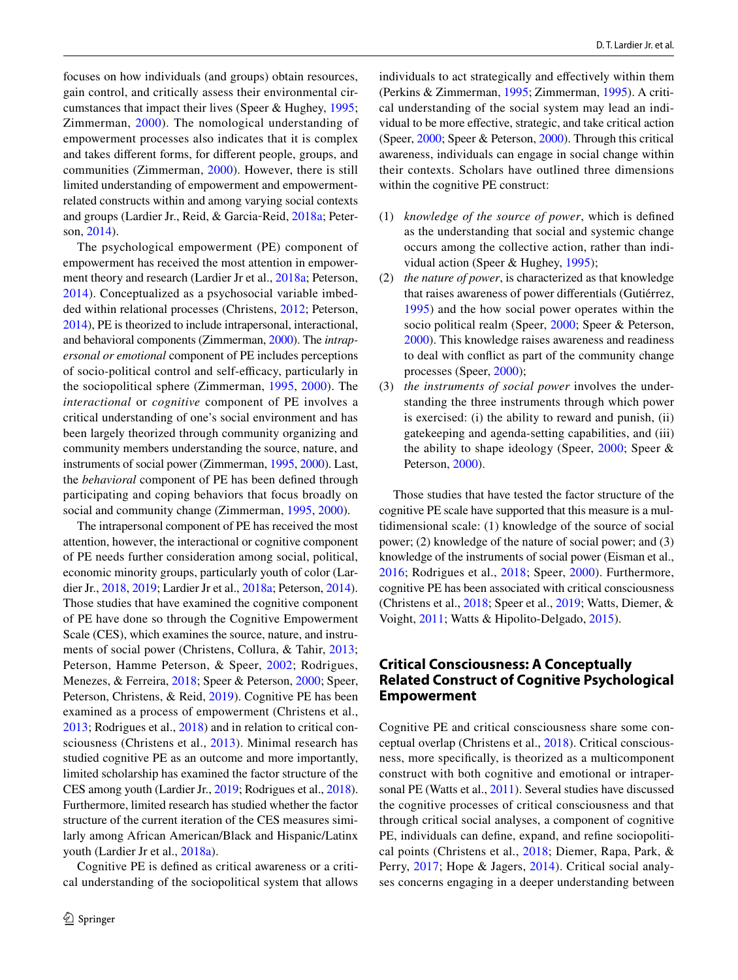focuses on how individuals (and groups) obtain resources, gain control, and critically assess their environmental circumstances that impact their lives (Speer & Hughey, [1995](#page-13-2); Zimmerman, [2000](#page-14-0)). The nomological understanding of empowerment processes also indicates that it is complex and takes diferent forms, for diferent people, groups, and communities (Zimmerman, [2000](#page-14-0)). However, there is still limited understanding of empowerment and empowermentrelated constructs within and among varying social contexts and groups (Lardier Jr., Reid, & Garcia‐Reid, [2018a](#page-12-5); Peterson, [2014](#page-13-3)).

The psychological empowerment (PE) component of empowerment has received the most attention in empowerment theory and research (Lardier Jr et al., [2018a](#page-12-5); Peterson, [2014\)](#page-13-3). Conceptualized as a psychosocial variable imbedded within relational processes (Christens, [2012](#page-12-6); Peterson, [2014\)](#page-13-3), PE is theorized to include intrapersonal, interactional, and behavioral components (Zimmerman, [2000\)](#page-14-0). The *intrapersonal or emotional* component of PE includes perceptions of socio-political control and self-efficacy, particularly in the sociopolitical sphere (Zimmerman, [1995,](#page-14-1) [2000\)](#page-14-0). The *interactional* or *cognitive* component of PE involves a critical understanding of one's social environment and has been largely theorized through community organizing and community members understanding the source, nature, and instruments of social power (Zimmerman, [1995,](#page-14-1) [2000\)](#page-14-0). Last, the *behavioral* component of PE has been defned through participating and coping behaviors that focus broadly on social and community change (Zimmerman, [1995,](#page-14-1) [2000](#page-14-0)).

The intrapersonal component of PE has received the most attention, however, the interactional or cognitive component of PE needs further consideration among social, political, economic minority groups, particularly youth of color (Lardier Jr., [2018](#page-12-7), [2019;](#page-12-4) Lardier Jr et al., [2018a;](#page-12-5) Peterson, [2014](#page-13-3)). Those studies that have examined the cognitive component of PE have done so through the Cognitive Empowerment Scale (CES), which examines the source, nature, and instruments of social power (Christens, Collura, & Tahir, [2013](#page-12-8); Peterson, Hamme Peterson, & Speer, [2002](#page-13-4); Rodrigues, Menezes, & Ferreira, [2018;](#page-13-5) Speer & Peterson, [2000;](#page-13-6) Speer, Peterson, Christens, & Reid, [2019\)](#page-13-7). Cognitive PE has been examined as a process of empowerment (Christens et al., [2013](#page-12-8); Rodrigues et al., [2018\)](#page-13-5) and in relation to critical consciousness (Christens et al., [2013](#page-12-8)). Minimal research has studied cognitive PE as an outcome and more importantly, limited scholarship has examined the factor structure of the CES among youth (Lardier Jr., [2019;](#page-12-4) Rodrigues et al., [2018](#page-13-5)). Furthermore, limited research has studied whether the factor structure of the current iteration of the CES measures similarly among African American/Black and Hispanic/Latinx youth (Lardier Jr et al., [2018a\)](#page-12-5).

Cognitive PE is defned as critical awareness or a critical understanding of the sociopolitical system that allows individuals to act strategically and efectively within them (Perkins & Zimmerman, [1995;](#page-13-8) Zimmerman, [1995\)](#page-14-1). A critical understanding of the social system may lead an individual to be more efective, strategic, and take critical action (Speer, [2000;](#page-13-9) Speer & Peterson, [2000](#page-13-6)). Through this critical awareness, individuals can engage in social change within their contexts. Scholars have outlined three dimensions within the cognitive PE construct:

- (1) *knowledge of the source of power*, which is defned as the understanding that social and systemic change occurs among the collective action, rather than individual action (Speer & Hughey, [1995\)](#page-13-2);
- (2) *the nature of power*, is characterized as that knowledge that raises awareness of power diferentials (Gutiérrez, [1995\)](#page-12-9) and the how social power operates within the socio political realm (Speer, [2000;](#page-13-9) Speer & Peterson, [2000\)](#page-13-6). This knowledge raises awareness and readiness to deal with confict as part of the community change processes (Speer, [2000\)](#page-13-9);
- (3) *the instruments of social power* involves the understanding the three instruments through which power is exercised: (i) the ability to reward and punish, (ii) gatekeeping and agenda-setting capabilities, and (iii) the ability to shape ideology (Speer, [2000](#page-13-9); Speer & Peterson, [2000\)](#page-13-6).

Those studies that have tested the factor structure of the cognitive PE scale have supported that this measure is a multidimensional scale: (1) knowledge of the source of social power; (2) knowledge of the nature of social power; and (3) knowledge of the instruments of social power (Eisman et al., [2016;](#page-12-10) Rodrigues et al., [2018;](#page-13-5) Speer, [2000](#page-13-9)). Furthermore, cognitive PE has been associated with critical consciousness (Christens et al., [2018](#page-12-0); Speer et al., [2019;](#page-13-7) Watts, Diemer, & Voight, [2011;](#page-13-10) Watts & Hipolito-Delgado, [2015\)](#page-13-11).

## **Critical Consciousness: A Conceptually Related Construct of Cognitive Psychological Empowerment**

Cognitive PE and critical consciousness share some conceptual overlap (Christens et al., [2018](#page-12-0)). Critical consciousness, more specifcally, is theorized as a multicomponent construct with both cognitive and emotional or intrapersonal PE (Watts et al., [2011\)](#page-13-10). Several studies have discussed the cognitive processes of critical consciousness and that through critical social analyses, a component of cognitive PE, individuals can defne, expand, and refne sociopolitical points (Christens et al., [2018;](#page-12-0) Diemer, Rapa, Park, & Perry, [2017;](#page-12-11) Hope & Jagers, [2014](#page-12-12)). Critical social analyses concerns engaging in a deeper understanding between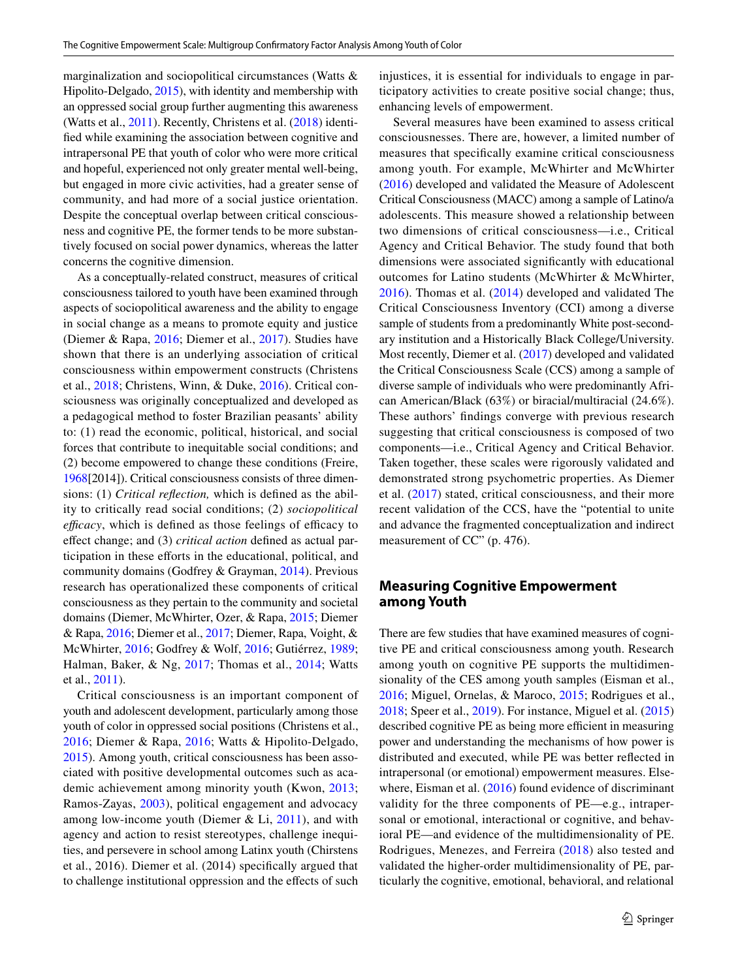marginalization and sociopolitical circumstances (Watts & Hipolito-Delgado, [2015\)](#page-13-11), with identity and membership with an oppressed social group further augmenting this awareness (Watts et al., [2011\)](#page-13-10). Recently, Christens et al. ([2018](#page-12-0)) identifed while examining the association between cognitive and intrapersonal PE that youth of color who were more critical and hopeful, experienced not only greater mental well-being, but engaged in more civic activities, had a greater sense of community, and had more of a social justice orientation. Despite the conceptual overlap between critical consciousness and cognitive PE, the former tends to be more substantively focused on social power dynamics, whereas the latter concerns the cognitive dimension.

As a conceptually-related construct, measures of critical consciousness tailored to youth have been examined through aspects of sociopolitical awareness and the ability to engage in social change as a means to promote equity and justice (Diemer & Rapa, [2016;](#page-12-13) Diemer et al., [2017](#page-12-11)). Studies have shown that there is an underlying association of critical consciousness within empowerment constructs (Christens et al., [2018;](#page-12-0) Christens, Winn, & Duke, [2016\)](#page-12-14). Critical consciousness was originally conceptualized and developed as a pedagogical method to foster Brazilian peasants' ability to: (1) read the economic, political, historical, and social forces that contribute to inequitable social conditions; and (2) become empowered to change these conditions (Freire, [1968\[](#page-12-15)2014]). Critical consciousness consists of three dimensions: (1) *Critical refection,* which is defned as the ability to critically read social conditions; (2) *sociopolitical efficacy*, which is defined as those feelings of efficacy to efect change; and (3) *critical action* defned as actual participation in these efforts in the educational, political, and community domains (Godfrey & Grayman, [2014](#page-12-16)). Previous research has operationalized these components of critical consciousness as they pertain to the community and societal domains (Diemer, McWhirter, Ozer, & Rapa, [2015;](#page-12-17) Diemer & Rapa, [2016;](#page-12-13) Diemer et al., [2017;](#page-12-11) Diemer, Rapa, Voight, & McWhirter, [2016](#page-12-18); Godfrey & Wolf, [2016;](#page-12-19) Gutiérrez, [1989](#page-12-20); Halman, Baker, & Ng, [2017;](#page-12-21) Thomas et al., [2014;](#page-13-12) Watts et al., [2011\)](#page-13-10).

Critical consciousness is an important component of youth and adolescent development, particularly among those youth of color in oppressed social positions (Christens et al., [2016;](#page-12-14) Diemer & Rapa, [2016](#page-12-13); Watts & Hipolito-Delgado, [2015](#page-13-11)). Among youth, critical consciousness has been associated with positive developmental outcomes such as academic achievement among minority youth (Kwon, [2013](#page-12-3); Ramos-Zayas, [2003\)](#page-13-13), political engagement and advocacy among low-income youth (Diemer  $& Li, 2011$ ), and with agency and action to resist stereotypes, challenge inequities, and persevere in school among Latinx youth (Chirstens et al., 2016). Diemer et al. (2014) specifcally argued that to challenge institutional oppression and the efects of such injustices, it is essential for individuals to engage in participatory activities to create positive social change; thus, enhancing levels of empowerment.

Several measures have been examined to assess critical consciousnesses. There are, however, a limited number of measures that specifcally examine critical consciousness among youth. For example, McWhirter and McWhirter ([2016\)](#page-13-14) developed and validated the Measure of Adolescent Critical Consciousness (MACC) among a sample of Latino/a adolescents. This measure showed a relationship between two dimensions of critical consciousness—i.e., Critical Agency and Critical Behavior. The study found that both dimensions were associated signifcantly with educational outcomes for Latino students (McWhirter & McWhirter, [2016\)](#page-13-14). Thomas et al. [\(2014\)](#page-13-12) developed and validated The Critical Consciousness Inventory (CCI) among a diverse sample of students from a predominantly White post-secondary institution and a Historically Black College/University. Most recently, Diemer et al. [\(2017](#page-12-11)) developed and validated the Critical Consciousness Scale (CCS) among a sample of diverse sample of individuals who were predominantly African American/Black (63%) or biracial/multiracial (24.6%). These authors' fndings converge with previous research suggesting that critical consciousness is composed of two components—i.e., Critical Agency and Critical Behavior. Taken together, these scales were rigorously validated and demonstrated strong psychometric properties. As Diemer et al. ([2017](#page-12-11)) stated, critical consciousness, and their more recent validation of the CCS, have the "potential to unite and advance the fragmented conceptualization and indirect measurement of CC" (p. 476).

## **Measuring Cognitive Empowerment among Youth**

There are few studies that have examined measures of cognitive PE and critical consciousness among youth. Research among youth on cognitive PE supports the multidimensionality of the CES among youth samples (Eisman et al., [2016](#page-12-10); Miguel, Ornelas, & Maroco, [2015;](#page-13-15) Rodrigues et al., [2018](#page-13-5); Speer et al., [2019](#page-13-7)). For instance, Miguel et al. ([2015\)](#page-13-15) described cognitive PE as being more efficient in measuring power and understanding the mechanisms of how power is distributed and executed, while PE was better refected in intrapersonal (or emotional) empowerment measures. Else-where, Eisman et al. [\(2016\)](#page-12-10) found evidence of discriminant validity for the three components of PE—e.g., intrapersonal or emotional, interactional or cognitive, and behavioral PE—and evidence of the multidimensionality of PE. Rodrigues, Menezes, and Ferreira ([2018\)](#page-13-5) also tested and validated the higher-order multidimensionality of PE, particularly the cognitive, emotional, behavioral, and relational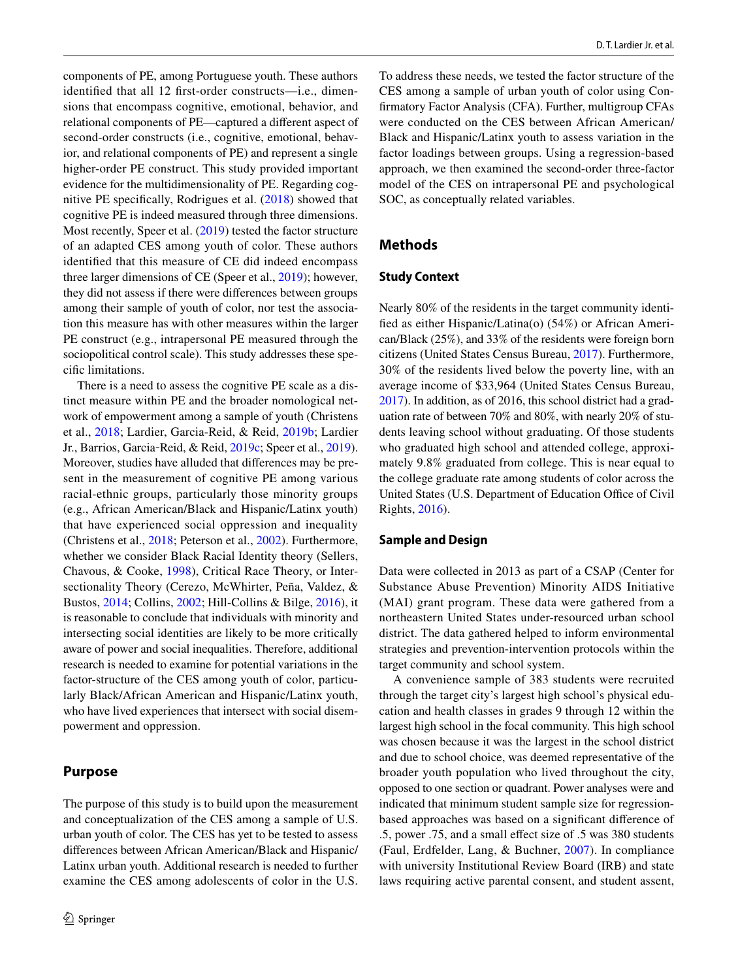components of PE, among Portuguese youth. These authors identifed that all 12 frst-order constructs—i.e., dimensions that encompass cognitive, emotional, behavior, and relational components of PE—captured a diferent aspect of second-order constructs (i.e., cognitive, emotional, behavior, and relational components of PE) and represent a single higher-order PE construct. This study provided important evidence for the multidimensionality of PE. Regarding cognitive PE specifcally, Rodrigues et al. ([2018\)](#page-13-5) showed that cognitive PE is indeed measured through three dimensions. Most recently, Speer et al. [\(2019\)](#page-13-7) tested the factor structure of an adapted CES among youth of color. These authors identifed that this measure of CE did indeed encompass three larger dimensions of CE (Speer et al., [2019\)](#page-13-7); however, they did not assess if there were diferences between groups among their sample of youth of color, nor test the association this measure has with other measures within the larger PE construct (e.g., intrapersonal PE measured through the sociopolitical control scale). This study addresses these specifc limitations.

There is a need to assess the cognitive PE scale as a distinct measure within PE and the broader nomological network of empowerment among a sample of youth (Christens et al., [2018;](#page-12-0) Lardier, Garcia-Reid, & Reid, [2019b;](#page-12-23) Lardier Jr., Barrios, Garcia‐Reid, & Reid, [2019c;](#page-12-24) Speer et al., [2019](#page-13-7)). Moreover, studies have alluded that diferences may be present in the measurement of cognitive PE among various racial-ethnic groups, particularly those minority groups (e.g., African American/Black and Hispanic/Latinx youth) that have experienced social oppression and inequality (Christens et al., [2018](#page-12-0); Peterson et al., [2002](#page-13-4)). Furthermore, whether we consider Black Racial Identity theory (Sellers, Chavous, & Cooke, [1998\)](#page-13-16), Critical Race Theory, or Intersectionality Theory (Cerezo, McWhirter, Peña, Valdez, & Bustos, [2014](#page-12-25); Collins, [2002;](#page-12-26) Hill-Collins & Bilge, [2016](#page-12-27)), it is reasonable to conclude that individuals with minority and intersecting social identities are likely to be more critically aware of power and social inequalities. Therefore, additional research is needed to examine for potential variations in the factor-structure of the CES among youth of color, particularly Black/African American and Hispanic/Latinx youth, who have lived experiences that intersect with social disempowerment and oppression.

# **Purpose**

The purpose of this study is to build upon the measurement and conceptualization of the CES among a sample of U.S. urban youth of color. The CES has yet to be tested to assess diferences between African American/Black and Hispanic/ Latinx urban youth. Additional research is needed to further examine the CES among adolescents of color in the U.S.

To address these needs, we tested the factor structure of the CES among a sample of urban youth of color using Confrmatory Factor Analysis (CFA). Further, multigroup CFAs were conducted on the CES between African American/ Black and Hispanic/Latinx youth to assess variation in the factor loadings between groups. Using a regression-based approach, we then examined the second-order three-factor model of the CES on intrapersonal PE and psychological SOC, as conceptually related variables.

## **Methods**

#### **Study Context**

Nearly 80% of the residents in the target community identifed as either Hispanic/Latina(o) (54%) or African American/Black (25%), and 33% of the residents were foreign born citizens (United States Census Bureau, [2017\)](#page-13-17). Furthermore, 30% of the residents lived below the poverty line, with an average income of \$33,964 (United States Census Bureau, [2017\)](#page-13-17). In addition, as of 2016, this school district had a graduation rate of between 70% and 80%, with nearly 20% of students leaving school without graduating. Of those students who graduated high school and attended college, approximately 9.8% graduated from college. This is near equal to the college graduate rate among students of color across the United States (U.S. Department of Education Office of Civil Rights, [2016\)](#page-13-18).

#### **Sample and Design**

Data were collected in 2013 as part of a CSAP (Center for Substance Abuse Prevention) Minority AIDS Initiative (MAI) grant program. These data were gathered from a northeastern United States under-resourced urban school district. The data gathered helped to inform environmental strategies and prevention-intervention protocols within the target community and school system.

A convenience sample of 383 students were recruited through the target city's largest high school's physical education and health classes in grades 9 through 12 within the largest high school in the focal community. This high school was chosen because it was the largest in the school district and due to school choice, was deemed representative of the broader youth population who lived throughout the city, opposed to one section or quadrant. Power analyses were and indicated that minimum student sample size for regressionbased approaches was based on a signifcant diference of .5, power .75, and a small efect size of .5 was 380 students (Faul, Erdfelder, Lang, & Buchner, [2007](#page-12-28)). In compliance with university Institutional Review Board (IRB) and state laws requiring active parental consent, and student assent,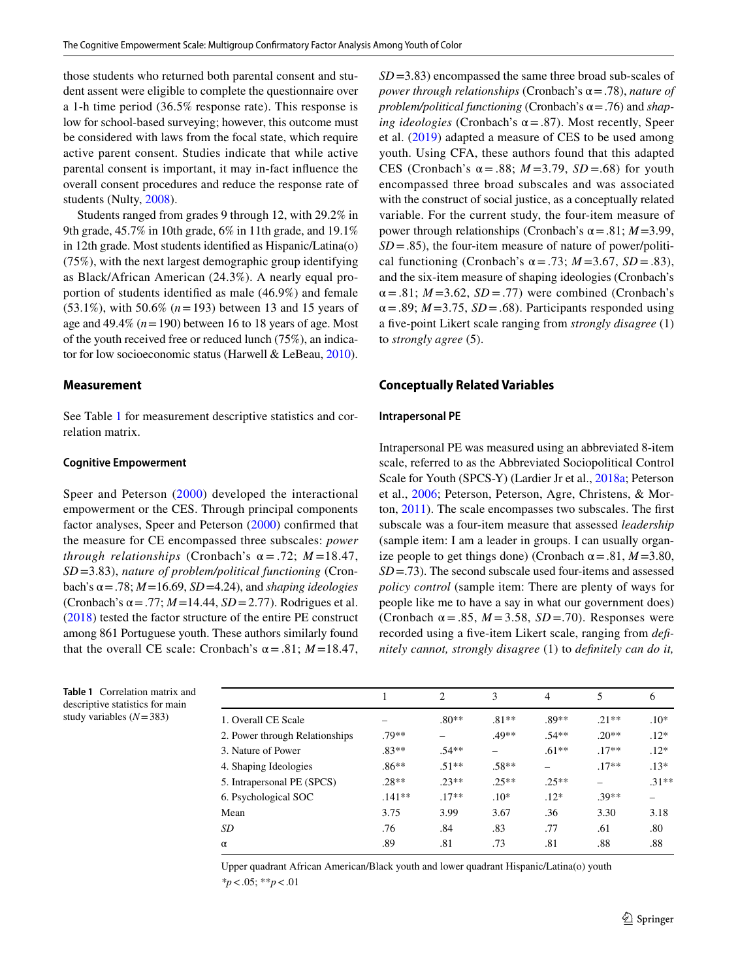those students who returned both parental consent and student assent were eligible to complete the questionnaire over a 1-h time period (36.5% response rate). This response is low for school-based surveying; however, this outcome must be considered with laws from the focal state, which require active parent consent. Studies indicate that while active parental consent is important, it may in-fact infuence the overall consent procedures and reduce the response rate of students (Nulty, [2008](#page-13-19)).

Students ranged from grades 9 through 12, with 29.2% in 9th grade, 45.7% in 10th grade, 6% in 11th grade, and 19.1% in 12th grade. Most students identifed as Hispanic/Latina(o) (75%), with the next largest demographic group identifying as Black/African American (24.3%). A nearly equal proportion of students identifed as male (46.9%) and female (53.1%), with 50.6% (*n*=193) between 13 and 15 years of age and  $49.4\%$  ( $n = 190$ ) between 16 to 18 years of age. Most of the youth received free or reduced lunch (75%), an indicator for low socioeconomic status (Harwell & LeBeau, [2010](#page-12-29)).

#### **Measurement**

See Table [1](#page-4-0) for measurement descriptive statistics and correlation matrix.

#### **Cognitive Empowerment**

Speer and Peterson ([2000\)](#page-13-6) developed the interactional empowerment or the CES. Through principal components factor analyses, Speer and Peterson ([2000](#page-13-6)) confrmed that the measure for CE encompassed three subscales: *power through relationships* (Cronbach's  $\alpha$  = .72; *M* =18.47, *SD* =3.83), *nature of problem/political functioning* (Cronbach's  $\alpha$  = .78;  $M$  = 16.69, *SD* = 4.24), and *shaping ideologies* (Cronbach's  $\alpha$  = .77;  $M$  = 14.44,  $SD$  = 2.77). Rodrigues et al. [\(2018\)](#page-13-5) tested the factor structure of the entire PE construct among 861 Portuguese youth. These authors similarly found that the overall CE scale: Cronbach's  $\alpha = .81$ ; *M* = 18.47,

<span id="page-4-0"></span>**Table 1** Correlation matrix and descriptive statistics for main study variables (*N*=383)

| $SD = 3.83$ ) encompassed the same three broad sub-scales of                    |
|---------------------------------------------------------------------------------|
| power through relationships (Cronbach's $\alpha$ = .78), nature of              |
| problem/political functioning (Cronbach's $\alpha$ = .76) and shap-             |
| ing ideologies (Cronbach's $\alpha$ = .87). Most recently, Speer                |
| et al. $(2019)$ adapted a measure of CES to be used among                       |
| youth. Using CFA, these authors found that this adapted                         |
| CES (Cronbach's $\alpha = .88$ ; $M = 3.79$ , $SD = .68$ ) for youth            |
| encompassed three broad subscales and was associated                            |
| with the construct of social justice, as a conceptually related                 |
| variable. For the current study, the four-item measure of                       |
| power through relationships (Cronbach's $\alpha$ = .81; <i>M</i> = 3.99,        |
| $SD = .85$ ), the four-item measure of nature of power/politi-                  |
| cal functioning (Cronbach's $\alpha$ = .73; <i>M</i> = 3.67, <i>SD</i> = .83),  |
| and the six-item measure of shaping ideologies (Cronbach's                      |
| $\alpha = .81$ ; $M = 3.62$ , $SD = .77$ ) were combined (Cronbach's            |
| $\alpha$ = .89; <i>M</i> = 3.75, <i>SD</i> = .68). Participants responded using |
| a five-point Likert scale ranging from strongly disagree (1)                    |
| to <i>strongly agree</i> (5).                                                   |

#### **Conceptually Related Variables**

#### **Intrapersonal PE**

Intrapersonal PE was measured using an abbreviated 8-item scale, referred to as the Abbreviated Sociopolitical Control Scale for Youth (SPCS-Y) (Lardier Jr et al., [2018a;](#page-12-5) Peterson et al., [2006](#page-13-20); Peterson, Peterson, Agre, Christens, & Morton, [2011](#page-13-21)). The scale encompasses two subscales. The frst subscale was a four-item measure that assessed *leadership* (sample item: I am a leader in groups. I can usually organize people to get things done) (Cronbach  $\alpha = .81$ ,  $M = 3.80$ , *SD*=.73). The second subscale used four-items and assessed *policy control* (sample item: There are plenty of ways for people like me to have a say in what our government does) (Cronbach  $\alpha = .85$ ,  $M = 3.58$ ,  $SD = .70$ ). Responses were recorded using a fve-item Likert scale, ranging from *defnitely cannot, strongly disagree* (1) to *defnitely can do it,* 

|                                |          | 2       | 3       | $\overline{4}$ | 5       | 6       |
|--------------------------------|----------|---------|---------|----------------|---------|---------|
| 1. Overall CE Scale            |          | $.80**$ | $.81**$ | .89**          | $21**$  | $.10*$  |
| 2. Power through Relationships | .79**    |         | $.49**$ | $.54**$        | $.20**$ | $.12*$  |
| 3. Nature of Power             | $.83**$  | $.54**$ |         | $.61**$        | $.17**$ | $.12*$  |
| 4. Shaping Ideologies          | $.86**$  | $.51**$ | $.58**$ |                | $.17**$ | $.13*$  |
| 5. Intrapersonal PE (SPCS)     | $.28**$  | $.23**$ | $.25**$ | $.25**$        |         | $.31**$ |
| 6. Psychological SOC           | $.141**$ | $.17**$ | $.10*$  | $.12*$         | $.39**$ |         |
| Mean                           | 3.75     | 3.99    | 3.67    | .36            | 3.30    | 3.18    |
| <b>SD</b>                      | .76      | .84     | .83     | .77            | .61     | .80     |
| $\alpha$                       | .89      | .81     | .73     | .81            | .88     | .88     |

Upper quadrant African American/Black youth and lower quadrant Hispanic/Latina(o) youth *\*p*<.05; \*\**p*<.01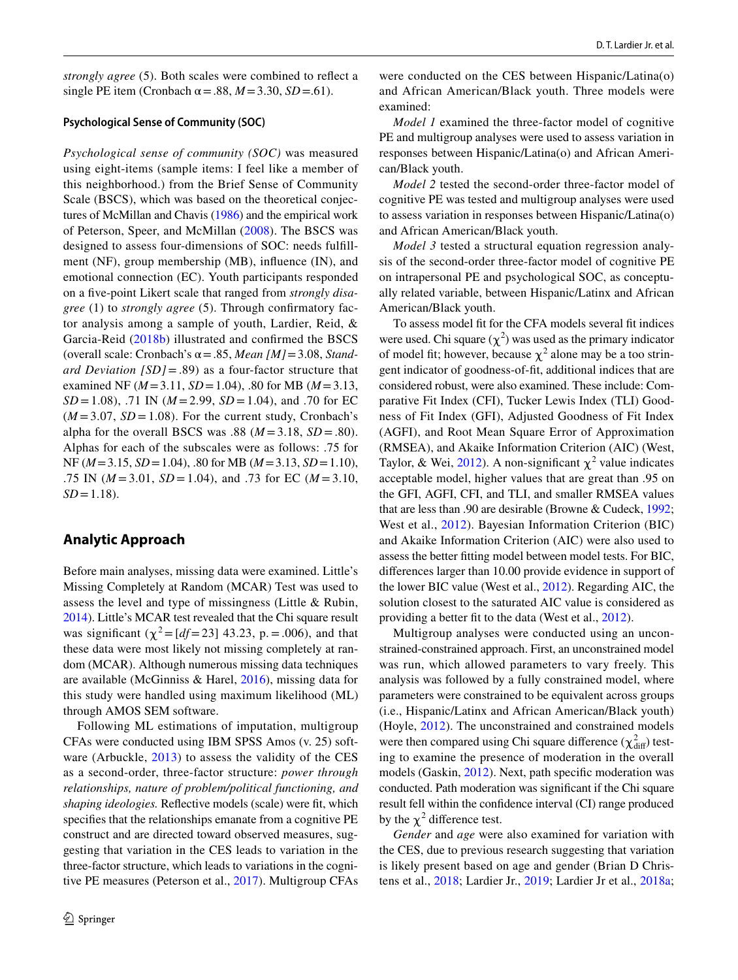*strongly agree* (5). Both scales were combined to refect a single PE item (Cronbach  $\alpha$  = .88, *M* = 3.30, *SD* = .61).

#### **Psychological Sense of Community (SOC)**

*Psychological sense of community (SOC)* was measured using eight-items (sample items: I feel like a member of this neighborhood.) from the Brief Sense of Community Scale (BSCS), which was based on the theoretical conjectures of McMillan and Chavis [\(1986](#page-13-22)) and the empirical work of Peterson, Speer, and McMillan [\(2008\)](#page-13-23). The BSCS was designed to assess four-dimensions of SOC: needs fulfllment (NF), group membership (MB), infuence (IN), and emotional connection (EC). Youth participants responded on a fve-point Likert scale that ranged from *strongly disagree* (1) to *strongly agree* (5). Through confrmatory factor analysis among a sample of youth, Lardier, Reid, & Garcia-Reid ([2018b\)](#page-12-30) illustrated and confrmed the BSCS (overall scale: Cronbach's  $\alpha = .85$ , *Mean* [*M*] = 3.08, *Standard Deviation [SD]*=.89) as a four-factor structure that examined NF (*M*=3.11, *SD*=1.04), .80 for MB (*M*=3.13, *SD* = 1.08), .71 IN ( $M = 2.99$ ,  $SD = 1.04$ ), and .70 for EC  $(M=3.07, SD=1.08)$ . For the current study, Cronbach's alpha for the overall BSCS was .88 ( $M = 3.18$ ,  $SD = .80$ ). Alphas for each of the subscales were as follows: .75 for NF (*M*=3.15, *SD*=1.04), .80 for MB (*M*=3.13, *SD*=1.10), .75 IN (*M* =3.01, *SD* =1.04), and .73 for EC (*M* =3.10,  $SD = 1.18$ .

## **Analytic Approach**

Before main analyses, missing data were examined. Little's Missing Completely at Random (MCAR) Test was used to assess the level and type of missingness (Little & Rubin, [2014\)](#page-13-24). Little's MCAR test revealed that the Chi square result was significant  $(\chi^2 = [df = 23] \, 43.23, \, p = .006)$ , and that these data were most likely not missing completely at random (MCAR). Although numerous missing data techniques are available (McGinniss & Harel, [2016\)](#page-13-25), missing data for this study were handled using maximum likelihood (ML) through AMOS SEM software.

Following ML estimations of imputation, multigroup CFAs were conducted using IBM SPSS Amos (v. 25) software (Arbuckle, [2013](#page-12-31)) to assess the validity of the CES as a second-order, three-factor structure: *power through relationships, nature of problem/political functioning, and shaping ideologies.* Refective models (scale) were ft, which specifes that the relationships emanate from a cognitive PE construct and are directed toward observed measures, suggesting that variation in the CES leads to variation in the three-factor structure, which leads to variations in the cognitive PE measures (Peterson et al., [2017\)](#page-13-26). Multigroup CFAs

were conducted on the CES between Hispanic/Latina(o) and African American/Black youth. Three models were examined:

*Model 1* examined the three-factor model of cognitive PE and multigroup analyses were used to assess variation in responses between Hispanic/Latina(o) and African American/Black youth.

*Model 2* tested the second-order three-factor model of cognitive PE was tested and multigroup analyses were used to assess variation in responses between Hispanic/Latina(o) and African American/Black youth.

*Model 3* tested a structural equation regression analysis of the second-order three-factor model of cognitive PE on intrapersonal PE and psychological SOC, as conceptually related variable, between Hispanic/Latinx and African American/Black youth.

To assess model ft for the CFA models several ft indices were used. Chi square  $(\chi^2)$  was used as the primary indicator of model fit; however, because  $\chi^2$  alone may be a too stringent indicator of goodness-of-ft, additional indices that are considered robust, were also examined. These include: Comparative Fit Index (CFI), Tucker Lewis Index (TLI) Goodness of Fit Index (GFI), Adjusted Goodness of Fit Index (AGFI), and Root Mean Square Error of Approximation (RMSEA), and Akaike Information Criterion (AIC) (West, Taylor, & Wei, [2012](#page-13-27)). A non-significant  $\chi^2$  value indicates acceptable model, higher values that are great than .95 on the GFI, AGFI, CFI, and TLI, and smaller RMSEA values that are less than .90 are desirable (Browne & Cudeck, [1992](#page-12-32); West et al., [2012\)](#page-13-27). Bayesian Information Criterion (BIC) and Akaike Information Criterion (AIC) were also used to assess the better ftting model between model tests. For BIC, diferences larger than 10.00 provide evidence in support of the lower BIC value (West et al., [2012\)](#page-13-27). Regarding AIC, the solution closest to the saturated AIC value is considered as providing a better ft to the data (West et al., [2012\)](#page-13-27).

Multigroup analyses were conducted using an unconstrained-constrained approach. First, an unconstrained model was run, which allowed parameters to vary freely. This analysis was followed by a fully constrained model, where parameters were constrained to be equivalent across groups (i.e., Hispanic/Latinx and African American/Black youth) (Hoyle, [2012\)](#page-12-33). The unconstrained and constrained models were then compared using Chi square difference  $(\chi^2_{\text{diff}})$  testing to examine the presence of moderation in the overall models (Gaskin, [2012\)](#page-12-34). Next, path specifc moderation was conducted. Path moderation was signifcant if the Chi square result fell within the confdence interval (CI) range produced by the  $\chi^2$  difference test.

*Gender* and *age* were also examined for variation with the CES, due to previous research suggesting that variation is likely present based on age and gender (Brian D Christens et al., [2018;](#page-12-0) Lardier Jr., [2019;](#page-12-4) Lardier Jr et al., [2018a](#page-12-5);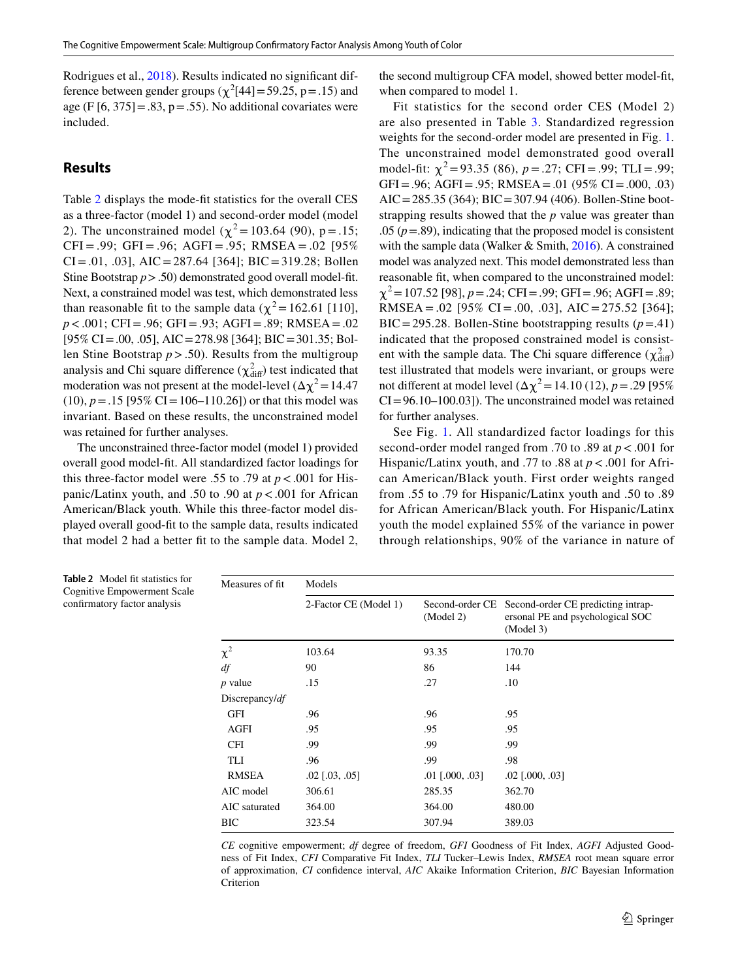Rodrigues et al., [2018\)](#page-13-5). Results indicated no signifcant difference between gender groups ( $\chi^2$ [44] = 59.25, p = .15) and age (F  $[6, 375] = .83$ , p= $.55$ ). No additional covariates were included.

# **Results**

Table [2](#page-6-0) displays the mode-ft statistics for the overall CES as a three-factor (model 1) and second-order model (model 2). The unconstrained model ( $\chi^2$  = 103.64 (90), p = .15;  $CFI = .99$ ;  $GFI = .96$ ;  $AGFI = .95$ ;  $RMSEA = .02$  [95%]  $CI = .01, .03$ ,  $AIC = 287.64$  [364]; BIC = 319.28; Bollen Stine Bootstrap *p*>.50) demonstrated good overall model-fit. Next, a constrained model was test, which demonstrated less than reasonable fit to the sample data ( $\chi^2$  = 162.61 [110], *p*<.001; CFI=.96; GFI=.93; AGFI=.89; RMSEA =.02 [95% CI=.00, .05], AIC=278.98 [364]; BIC=301.35; Bollen Stine Bootstrap *p*>.50). Results from the multigroup analysis and Chi square difference  $(\chi^2_{\text{diff}})$  test indicated that moderation was not present at the model-level  $(\Delta \chi^2 = 14.47)$  $(10)$ ,  $p = .15$  [95% CI = 106–110.26]) or that this model was invariant. Based on these results, the unconstrained model was retained for further analyses.

The unconstrained three-factor model (model 1) provided overall good model-ft. All standardized factor loadings for this three-factor model were .55 to .79 at  $p < .001$  for Hispanic/Latinx youth, and .50 to .90 at *p*<.001 for African American/Black youth. While this three-factor model displayed overall good-ft to the sample data, results indicated that model 2 had a better ft to the sample data. Model 2, the second multigroup CFA model, showed better model-ft, when compared to model 1.

Fit statistics for the second order CES (Model 2) are also presented in Table [3](#page-7-0). Standardized regression weights for the second-order model are presented in Fig. [1.](#page-8-0) The unconstrained model demonstrated good overall model-fit:  $\chi^2$ =93.35 (86), *p*=.27; CFI=.99; TLI=.99; GFI=.96; AGFI=.95; RMSEA=.01 (95% CI=.000, .03) AIC=285.35 (364); BIC=307.94 (406). Bollen-Stine bootstrapping results showed that the *p* value was greater than .05  $(p=.89)$ , indicating that the proposed model is consistent with the sample data (Walker & Smith, [2016](#page-13-28)). A constrained model was analyzed next. This model demonstrated less than reasonable ft, when compared to the unconstrained model:  $\chi^2$  = 107.52 [98], *p* = .24; CFI = .99; GFI = .96; AGFI = .89; RMSEA = .02 [95% CI = .00, .03], AIC = 275.52 [364]; BIC=295.28. Bollen-Stine bootstrapping results  $(p=0.41)$ indicated that the proposed constrained model is consistent with the sample data. The Chi square difference  $(\chi^2_{\text{diff}})$ test illustrated that models were invariant, or groups were not different at model level  $(Δχ² = 14.10 (12), p = .29 [95%$  $CI = 96.10-100.03$ ]). The unconstrained model was retained for further analyses.

See Fig. [1](#page-8-0). All standardized factor loadings for this second-order model ranged from .70 to .89 at *p*<.001 for Hispanic/Latinx youth, and .77 to .88 at *p*<.001 for African American/Black youth. First order weights ranged from .55 to .79 for Hispanic/Latinx youth and .50 to .89 for African American/Black youth. For Hispanic/Latinx youth the model explained 55% of the variance in power through relationships, 90% of the variance in nature of

| Measures of fit.  | Models                |                              |                                                                                     |
|-------------------|-----------------------|------------------------------|-------------------------------------------------------------------------------------|
|                   | 2-Factor CE (Model 1) | Second-order CE<br>(Model 2) | Second-order CE predicting intrap-<br>ersonal PE and psychological SOC<br>(Model 3) |
| $\chi^2$          | 103.64                | 93.35                        | 170.70                                                                              |
| df                | 90                    | 86                           | 144                                                                                 |
| $p$ value         | .15                   | .27                          | .10                                                                                 |
| Discrepancy/ $df$ |                       |                              |                                                                                     |
| <b>GFI</b>        | .96                   | .96                          | .95                                                                                 |
| AGFI              | .95                   | .95                          | .95                                                                                 |
| <b>CFI</b>        | .99                   | .99                          | .99                                                                                 |
| TLI               | .96                   | .99                          | .98                                                                                 |
| <b>RMSEA</b>      | $.02$ [ $.03, .05$ ]  | $.01$ [.000, .03]            | $.02$ [.000, .03]                                                                   |
| AIC model         | 306.61                | 285.35                       | 362.70                                                                              |
| AIC saturated     | 364.00                | 364.00                       | 480.00                                                                              |
| BIC               | 323.54                | 307.94                       | 389.03                                                                              |
|                   |                       |                              |                                                                                     |

*CE* cognitive empowerment; *df* degree of freedom, *GFI* Goodness of Fit Index, *AGFI* Adjusted Goodness of Fit Index, *CFI* Comparative Fit Index, *TLI* Tucker–Lewis Index, *RMSEA* root mean square error of approximation, *CI* confdence interval, *AIC* Akaike Information Criterion, *BIC* Bayesian Information Criterion

<span id="page-6-0"></span>**Table 2** Model fit statistics for Cognitive Empowerment Scale confrmatory factor analysis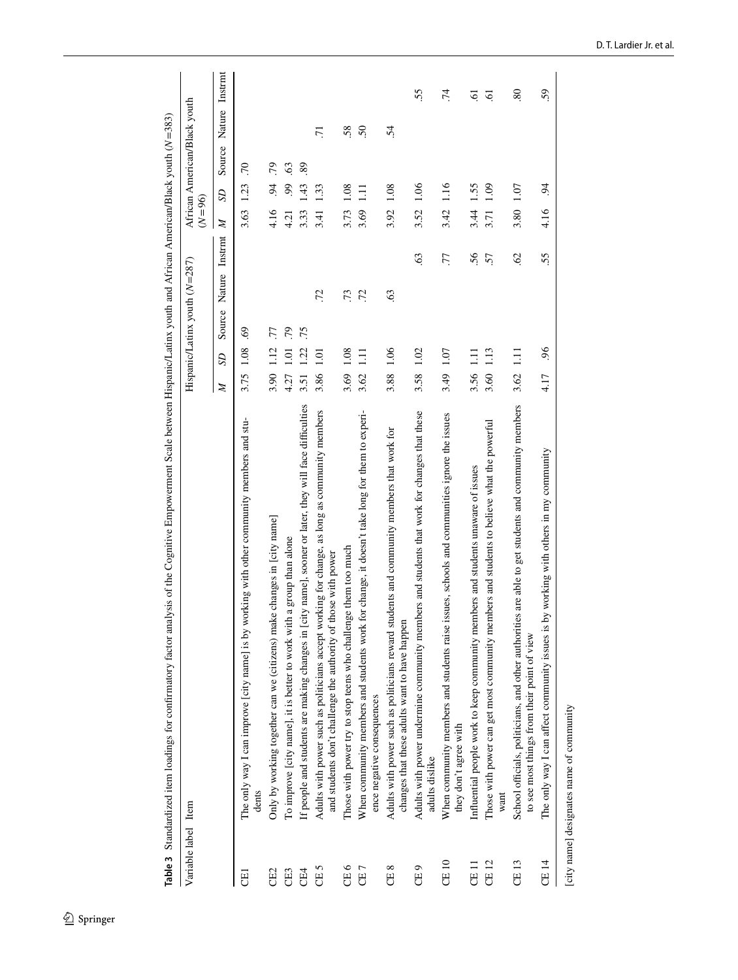|                     | Table 3 Standardized item loadings for confirmatory factor analysis of the Cognitive Empowerment Scale between Hispanic/Latinx youth and African American/Black youth ( $N=383$ ) |               |             |                                 |                         |                    |                              |                   |  |
|---------------------|-----------------------------------------------------------------------------------------------------------------------------------------------------------------------------------|---------------|-------------|---------------------------------|-------------------------|--------------------|------------------------------|-------------------|--|
| Variable label Item |                                                                                                                                                                                   |               |             | Hispanic/Latinx youth $(N=287)$ |                         | $(N=96)$           | African American/Black youth |                   |  |
|                     |                                                                                                                                                                                   | $\Omega$<br>Z | Source      | Nature                          | $\mathbb{Z}$<br>Instrmt | $\mathcal{S}$      | Source                       | Instrmt<br>Nature |  |
| E                   | The only way I can improve [city name] is by working with other community members and stu-<br>dents                                                                               | 3.75          | 69<br>1.08  |                                 |                         | 1.23<br>3.63       | .70                          |                   |  |
| CE2                 | Only by working together can we (citizens) make changes in [city name]                                                                                                            | 3.90          | 77<br>112   |                                 |                         | $\ddot{9}$<br>4.16 | .79                          |                   |  |
| CE3                 | To improve [city name], it is better to work with a group than alone                                                                                                              | 4.27          | .79<br>ā    |                                 |                         | 99<br>4.21         | 63                           |                   |  |
| CE4                 | If people and students are making changes in [city name], sooner or later, they will face difficulties                                                                            | 3.51          | .75<br>1.22 |                                 |                         | 43<br>3.33         | 89                           |                   |  |
| CE <sub>5</sub>     | Adults with power such as politicians accept working for change, as long as community members<br>and students don't challenge the authority of those with power                   | 3.86          | 1.01        | .72                             |                         | 1.33<br>3.41       |                              | $\overline{71}$   |  |
| CE <sub>6</sub>     | nge them too much<br>Those with power try to stop teens who challer                                                                                                               | 3.69          | 0.08        | .73                             |                         | 0.1<br>3.73        |                              | 58.               |  |
| CE7                 | for change, it doesn't take long for them to experi-<br>When community members and students work<br>ence negative consequences                                                    | 3.62          | $\Xi$       | $\ddot{z}$                      |                         | $\Xi$<br>3.69      |                              | 50                |  |
| CE <sub>8</sub>     | Adults with power such as politicians reward students and community members that work for<br>changes that these adults want to have happen                                        | 3.88          | 1.06        | 63                              |                         | 1.08<br>3.92       |                              | $\ddot{5}$        |  |
| CE <sub>9</sub>     | Adults with power undermine community members and students that work for changes that these<br>adults dislike                                                                     | 3.58          | 1.02        | 63                              |                         | 1.06<br>3.52       |                              | 55.               |  |
| <b>CE10</b>         | issues, schools and communities ignore the issues<br>When community members and students raise<br>they don't agree with                                                           | 3.49          | 1.07        | 77                              |                         | 1.16<br>3.42       |                              | .74               |  |
| CE <sub>11</sub>    | Influential people work to keep community members and students unaware of issues                                                                                                  | 3.56 1.11     |             | 56                              |                         | 1.55<br>3.44       |                              | S.                |  |
| CE 12               | Those with power can get most community members and students to believe what the powerful<br>want                                                                                 | 3.60          | 1.13        | 57                              |                         | 109<br>3.71        |                              | ত্ৰ               |  |
| CE 13               | ies are able to get students and community members<br>School officials, politicians, and other authoriti<br>to see most things from their point of view                           | 3.62          | $\Xi$       | <b>SS</b>                       |                         | 1.07<br>3.80       |                              | 80                |  |
| CE 14               | by working with others in my community<br>The only way I can affect community issues is                                                                                           | 4.17          | 96.         | 55                              |                         | $\ddot{9}$<br>4.16 |                              | 59                |  |

[city name] designates name of community [city name] designates name of community

<span id="page-7-0"></span> $\underline{\textcircled{\tiny 2}}$  Springer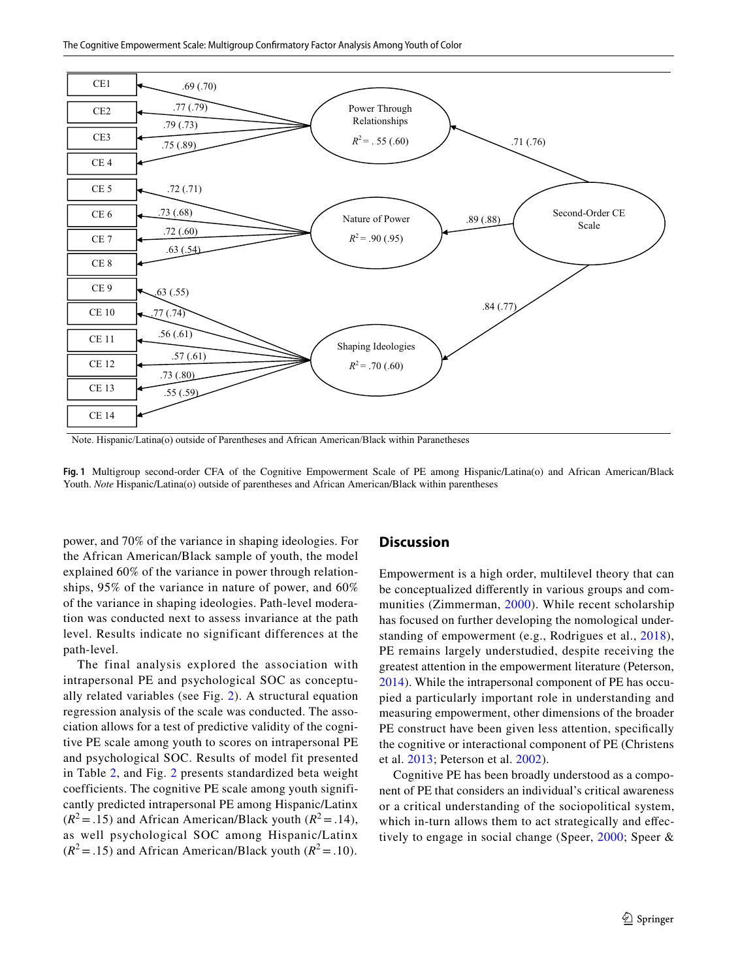

Note. Hispanic/Latina(o) outside of Parentheses and African American/Black within Paranetheses

<span id="page-8-0"></span>**Fig. 1** Multigroup second-order CFA of the Cognitive Empowerment Scale of PE among Hispanic/Latina(o) and African American/Black Youth. *Note* Hispanic/Latina(o) outside of parentheses and African American/Black within parentheses

power, and 70% of the variance in shaping ideologies. For the African American/Black sample of youth, the model explained 60% of the variance in power through relationships, 95% of the variance in nature of power, and 60% of the variance in shaping ideologies. Path-level moderation was conducted next to assess invariance at the path level. Results indicate no significant differences at the path-level.

The final analysis explored the association with intrapersonal PE and psychological SOC as conceptually related variables (see Fig. [2](#page-9-0)). A structural equation regression analysis of the scale was conducted. The association allows for a test of predictive validity of the cognitive PE scale among youth to scores on intrapersonal PE and psychological SOC. Results of model fit presented in Table [2](#page-6-0), and Fig. [2](#page-9-0) presents standardized beta weight coefficients. The cognitive PE scale among youth significantly predicted intrapersonal PE among Hispanic/Latinx  $(R^2 = .15)$  and African American/Black youth  $(R^2 = .14)$ , as well psychological SOC among Hispanic/Latinx  $(R^2 = .15)$  and African American/Black youth  $(R^2 = .10)$ .

#### **Discussion**

Empowerment is a high order, multilevel theory that can be conceptualized diferently in various groups and communities (Zimmerman, [2000\)](#page-14-0). While recent scholarship has focused on further developing the nomological understanding of empowerment (e.g., Rodrigues et al., [2018](#page-13-5)), PE remains largely understudied, despite receiving the greatest attention in the empowerment literature (Peterson, [2014\)](#page-13-3). While the intrapersonal component of PE has occupied a particularly important role in understanding and measuring empowerment, other dimensions of the broader PE construct have been given less attention, specifically the cognitive or interactional component of PE (Christens et al. [2013;](#page-12-8) Peterson et al. [2002](#page-13-4)).

Cognitive PE has been broadly understood as a component of PE that considers an individual's critical awareness or a critical understanding of the sociopolitical system, which in-turn allows them to act strategically and effectively to engage in social change (Speer, [2000](#page-13-9); Speer &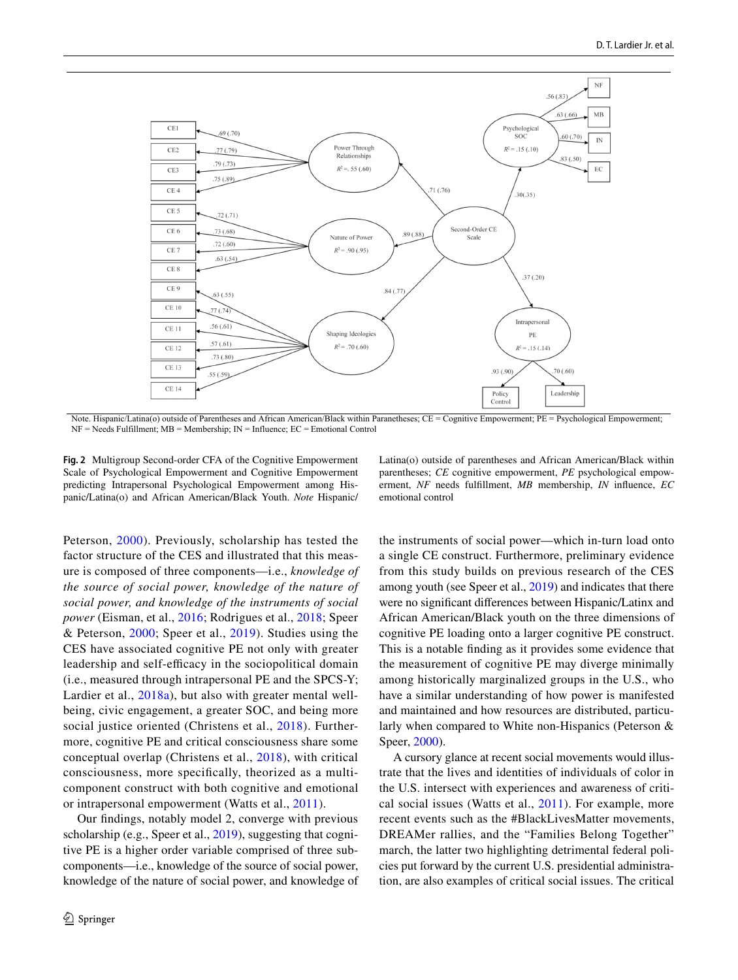

Note. Hispanic/Latina(o) outside of Parentheses and African American/Black within Paranetheses; CE = Cognitive Empowerment; PE = Psychological Empowerment;  $NF = N$ eeds Fulfillment;  $MB =$ Membership;  $IN =$ Influence;  $EC =$ Emotional Control

<span id="page-9-0"></span>**Fig. 2** Multigroup Second-order CFA of the Cognitive Empowerment Scale of Psychological Empowerment and Cognitive Empowerment predicting Intrapersonal Psychological Empowerment among Hispanic/Latina(o) and African American/Black Youth. *Note* Hispanic/

Latina(o) outside of parentheses and African American/Black within parentheses; *CE* cognitive empowerment, *PE* psychological empowerment, *NF* needs fulfllment, *MB* membership, *IN* infuence, *EC* emotional control

Peterson, [2000\)](#page-13-6). Previously, scholarship has tested the factor structure of the CES and illustrated that this measure is composed of three components—i.e., *knowledge of the source of social power, knowledge of the nature of social power, and knowledge of the instruments of social power* (Eisman, et al., [2016](#page-12-10); Rodrigues et al., [2018](#page-13-5); Speer & Peterson, [2000](#page-13-6); Speer et al., [2019\)](#page-13-7). Studies using the CES have associated cognitive PE not only with greater leadership and self-efficacy in the sociopolitical domain (i.e., measured through intrapersonal PE and the SPCS-Y; Lardier et al., [2018a\)](#page-12-5), but also with greater mental wellbeing, civic engagement, a greater SOC, and being more social justice oriented (Christens et al., [2018\)](#page-12-0). Furthermore, cognitive PE and critical consciousness share some conceptual overlap (Christens et al., [2018](#page-12-0)), with critical consciousness, more specifcally, theorized as a multicomponent construct with both cognitive and emotional or intrapersonal empowerment (Watts et al., [2011](#page-13-10)).

Our fndings, notably model 2, converge with previous scholarship (e.g., Speer et al., [2019](#page-13-7)), suggesting that cognitive PE is a higher order variable comprised of three subcomponents—i.e., knowledge of the source of social power, knowledge of the nature of social power, and knowledge of the instruments of social power—which in-turn load onto a single CE construct. Furthermore, preliminary evidence from this study builds on previous research of the CES among youth (see Speer et al., [2019](#page-13-7)) and indicates that there were no signifcant diferences between Hispanic/Latinx and African American/Black youth on the three dimensions of cognitive PE loading onto a larger cognitive PE construct. This is a notable fnding as it provides some evidence that the measurement of cognitive PE may diverge minimally among historically marginalized groups in the U.S., who have a similar understanding of how power is manifested and maintained and how resources are distributed, particularly when compared to White non-Hispanics (Peterson & Speer, [2000](#page-13-9)).

A cursory glance at recent social movements would illustrate that the lives and identities of individuals of color in the U.S. intersect with experiences and awareness of critical social issues (Watts et al., [2011](#page-13-10)). For example, more recent events such as the #BlackLivesMatter movements, DREAMer rallies, and the "Families Belong Together" march, the latter two highlighting detrimental federal policies put forward by the current U.S. presidential administration, are also examples of critical social issues. The critical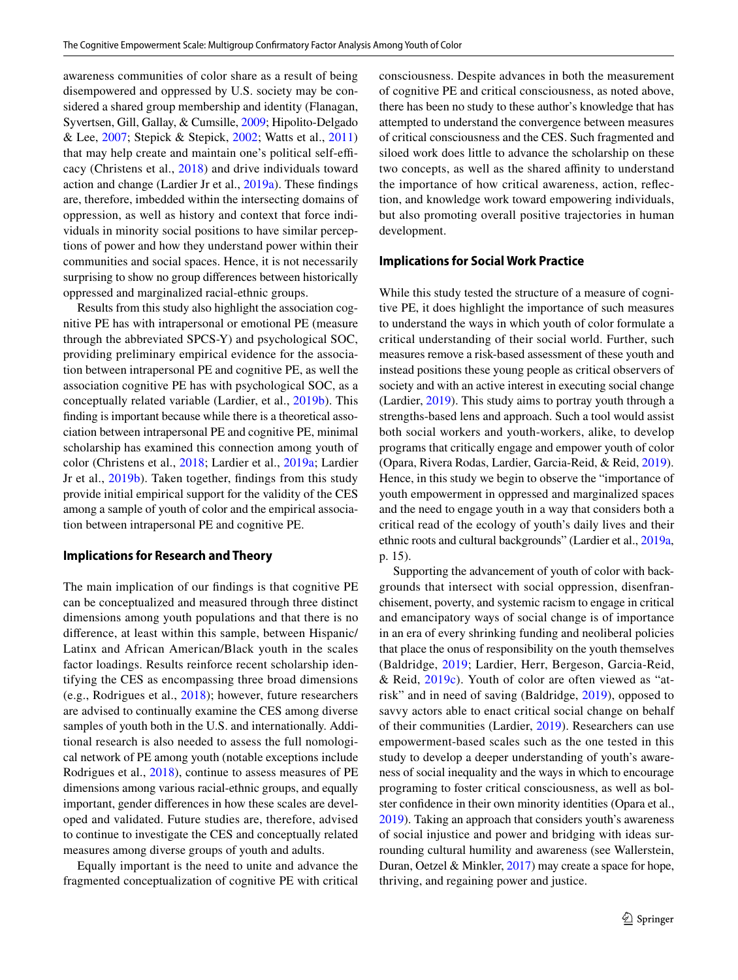awareness communities of color share as a result of being disempowered and oppressed by U.S. society may be considered a shared group membership and identity (Flanagan, Syvertsen, Gill, Gallay, & Cumsille, [2009;](#page-12-35) Hipolito-Delgado & Lee, [2007;](#page-12-36) Stepick & Stepick, [2002](#page-13-29); Watts et al., [2011\)](#page-13-10) that may help create and maintain one's political self-efficacy (Christens et al., [2018](#page-12-0)) and drive individuals toward action and change (Lardier Jr et al., [2019a](#page-12-37)). These fndings are, therefore, imbedded within the intersecting domains of oppression, as well as history and context that force individuals in minority social positions to have similar perceptions of power and how they understand power within their communities and social spaces. Hence, it is not necessarily surprising to show no group diferences between historically oppressed and marginalized racial-ethnic groups.

Results from this study also highlight the association cognitive PE has with intrapersonal or emotional PE (measure through the abbreviated SPCS-Y) and psychological SOC, providing preliminary empirical evidence for the association between intrapersonal PE and cognitive PE, as well the association cognitive PE has with psychological SOC, as a conceptually related variable (Lardier, et al., [2019b](#page-12-23)). This fnding is important because while there is a theoretical association between intrapersonal PE and cognitive PE, minimal scholarship has examined this connection among youth of color (Christens et al., [2018](#page-12-0); Lardier et al., [2019a;](#page-12-37) Lardier Jr et al., [2019b](#page-12-23)). Taken together, fndings from this study provide initial empirical support for the validity of the CES among a sample of youth of color and the empirical association between intrapersonal PE and cognitive PE.

#### **Implications for Research and Theory**

The main implication of our fndings is that cognitive PE can be conceptualized and measured through three distinct dimensions among youth populations and that there is no diference, at least within this sample, between Hispanic/ Latinx and African American/Black youth in the scales factor loadings. Results reinforce recent scholarship identifying the CES as encompassing three broad dimensions (e.g., Rodrigues et al., [2018\)](#page-13-5); however, future researchers are advised to continually examine the CES among diverse samples of youth both in the U.S. and internationally. Additional research is also needed to assess the full nomological network of PE among youth (notable exceptions include Rodrigues et al., [2018\)](#page-13-5), continue to assess measures of PE dimensions among various racial-ethnic groups, and equally important, gender diferences in how these scales are developed and validated. Future studies are, therefore, advised to continue to investigate the CES and conceptually related measures among diverse groups of youth and adults.

Equally important is the need to unite and advance the fragmented conceptualization of cognitive PE with critical consciousness. Despite advances in both the measurement of cognitive PE and critical consciousness, as noted above, there has been no study to these author's knowledge that has attempted to understand the convergence between measures of critical consciousness and the CES. Such fragmented and siloed work does little to advance the scholarship on these two concepts, as well as the shared affinity to understand the importance of how critical awareness, action, refection, and knowledge work toward empowering individuals, but also promoting overall positive trajectories in human development.

#### **Implications for Social Work Practice**

While this study tested the structure of a measure of cognitive PE, it does highlight the importance of such measures to understand the ways in which youth of color formulate a critical understanding of their social world. Further, such measures remove a risk-based assessment of these youth and instead positions these young people as critical observers of society and with an active interest in executing social change (Lardier, [2019](#page-12-4)). This study aims to portray youth through a strengths-based lens and approach. Such a tool would assist both social workers and youth-workers, alike, to develop programs that critically engage and empower youth of color (Opara, Rivera Rodas, Lardier, Garcia-Reid, & Reid, [2019](#page-13-30)). Hence, in this study we begin to observe the "importance of youth empowerment in oppressed and marginalized spaces and the need to engage youth in a way that considers both a critical read of the ecology of youth's daily lives and their ethnic roots and cultural backgrounds" (Lardier et al., [2019a,](#page-12-37) p. 15).

Supporting the advancement of youth of color with backgrounds that intersect with social oppression, disenfranchisement, poverty, and systemic racism to engage in critical and emancipatory ways of social change is of importance in an era of every shrinking funding and neoliberal policies that place the onus of responsibility on the youth themselves (Baldridge, [2019;](#page-12-38) Lardier, Herr, Bergeson, Garcia-Reid, & Reid, [2019c](#page-12-24)). Youth of color are often viewed as "atrisk" and in need of saving (Baldridge, [2019](#page-12-38)), opposed to savvy actors able to enact critical social change on behalf of their communities (Lardier, [2019](#page-12-4)). Researchers can use empowerment-based scales such as the one tested in this study to develop a deeper understanding of youth's awareness of social inequality and the ways in which to encourage programing to foster critical consciousness, as well as bolster confdence in their own minority identities (Opara et al., [2019](#page-13-30)). Taking an approach that considers youth's awareness of social injustice and power and bridging with ideas surrounding cultural humility and awareness (see Wallerstein, Duran, Oetzel & Minkler, [2017\)](#page-13-31) may create a space for hope, thriving, and regaining power and justice.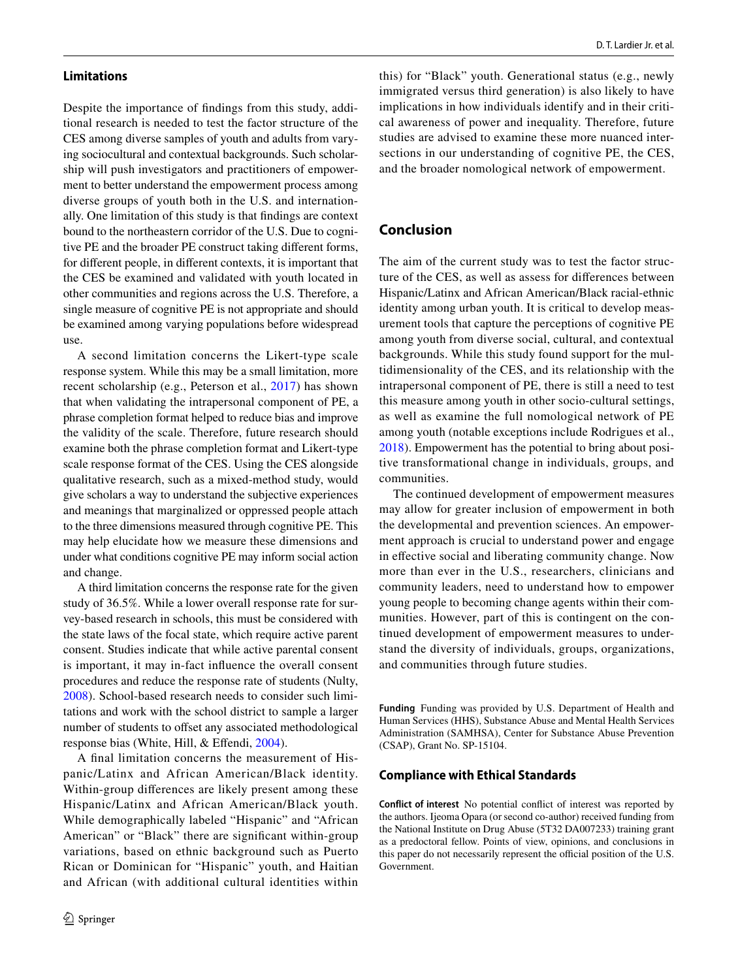#### **Limitations**

Despite the importance of fndings from this study, additional research is needed to test the factor structure of the CES among diverse samples of youth and adults from varying sociocultural and contextual backgrounds. Such scholarship will push investigators and practitioners of empowerment to better understand the empowerment process among diverse groups of youth both in the U.S. and internationally. One limitation of this study is that fndings are context bound to the northeastern corridor of the U.S. Due to cognitive PE and the broader PE construct taking diferent forms, for diferent people, in diferent contexts, it is important that the CES be examined and validated with youth located in other communities and regions across the U.S. Therefore, a single measure of cognitive PE is not appropriate and should be examined among varying populations before widespread use.

A second limitation concerns the Likert-type scale response system. While this may be a small limitation, more recent scholarship (e.g., Peterson et al., [2017](#page-13-26)) has shown that when validating the intrapersonal component of PE, a phrase completion format helped to reduce bias and improve the validity of the scale. Therefore, future research should examine both the phrase completion format and Likert-type scale response format of the CES. Using the CES alongside qualitative research, such as a mixed-method study, would give scholars a way to understand the subjective experiences and meanings that marginalized or oppressed people attach to the three dimensions measured through cognitive PE. This may help elucidate how we measure these dimensions and under what conditions cognitive PE may inform social action and change.

A third limitation concerns the response rate for the given study of 36.5%. While a lower overall response rate for survey-based research in schools, this must be considered with the state laws of the focal state, which require active parent consent. Studies indicate that while active parental consent is important, it may in-fact infuence the overall consent procedures and reduce the response rate of students (Nulty, [2008](#page-13-19)). School-based research needs to consider such limitations and work with the school district to sample a larger number of students to offset any associated methodological response bias (White, Hill, & Efendi, [2004](#page-13-32)).

A fnal limitation concerns the measurement of Hispanic/Latinx and African American/Black identity. Within-group diferences are likely present among these Hispanic/Latinx and African American/Black youth. While demographically labeled "Hispanic" and "African American" or "Black" there are signifcant within-group variations, based on ethnic background such as Puerto Rican or Dominican for "Hispanic" youth, and Haitian and African (with additional cultural identities within

this) for "Black" youth. Generational status (e.g., newly immigrated versus third generation) is also likely to have implications in how individuals identify and in their critical awareness of power and inequality. Therefore, future studies are advised to examine these more nuanced intersections in our understanding of cognitive PE, the CES, and the broader nomological network of empowerment.

## **Conclusion**

The aim of the current study was to test the factor structure of the CES, as well as assess for diferences between Hispanic/Latinx and African American/Black racial-ethnic identity among urban youth. It is critical to develop measurement tools that capture the perceptions of cognitive PE among youth from diverse social, cultural, and contextual backgrounds. While this study found support for the multidimensionality of the CES, and its relationship with the intrapersonal component of PE, there is still a need to test this measure among youth in other socio-cultural settings, as well as examine the full nomological network of PE among youth (notable exceptions include Rodrigues et al., [2018](#page-13-5)). Empowerment has the potential to bring about positive transformational change in individuals, groups, and communities.

The continued development of empowerment measures may allow for greater inclusion of empowerment in both the developmental and prevention sciences. An empowerment approach is crucial to understand power and engage in effective social and liberating community change. Now more than ever in the U.S., researchers, clinicians and community leaders, need to understand how to empower young people to becoming change agents within their communities. However, part of this is contingent on the continued development of empowerment measures to understand the diversity of individuals, groups, organizations, and communities through future studies.

**Funding** Funding was provided by U.S. Department of Health and Human Services (HHS), Substance Abuse and Mental Health Services Administration (SAMHSA), Center for Substance Abuse Prevention (CSAP), Grant No. SP-15104.

#### **Compliance with Ethical Standards**

**Conflict of interest** No potential confict of interest was reported by the authors. Ijeoma Opara (or second co-author) received funding from the National Institute on Drug Abuse (5T32 DA007233) training grant as a predoctoral fellow. Points of view, opinions, and conclusions in this paper do not necessarily represent the official position of the U.S. Government.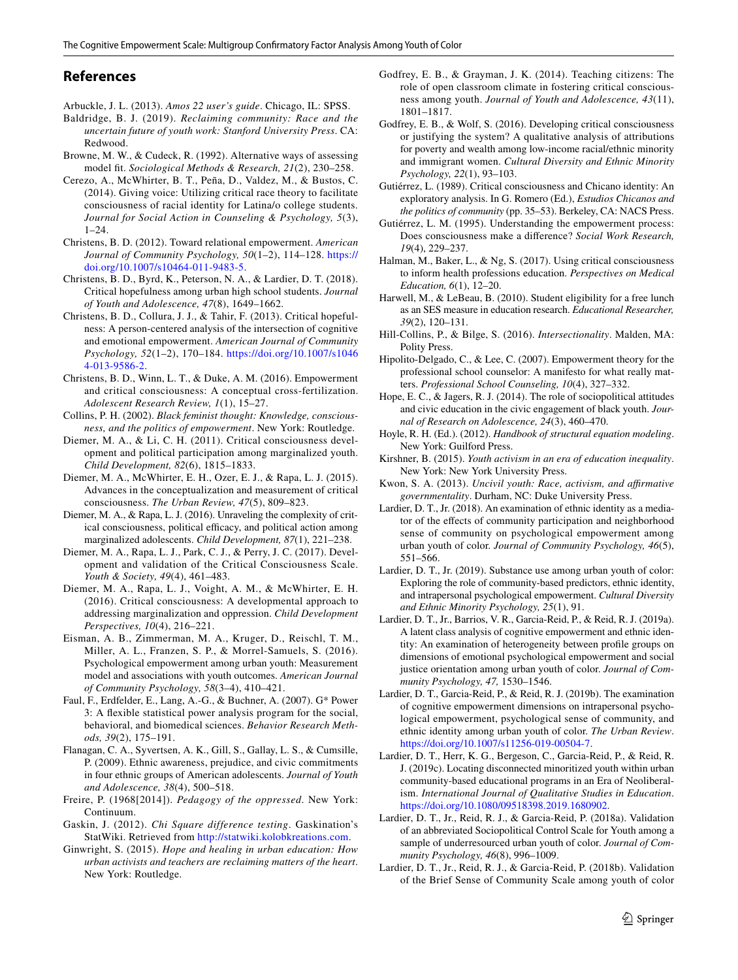## **References**

- <span id="page-12-31"></span>Arbuckle, J. L. (2013). *Amos 22 user's guide*. Chicago, IL: SPSS.
- <span id="page-12-38"></span>Baldridge, B. J. (2019). *Reclaiming community: Race and the uncertain future of youth work: Stanford University Press*. CA: Redwood.
- <span id="page-12-32"></span>Browne, M. W., & Cudeck, R. (1992). Alternative ways of assessing model ft. *Sociological Methods & Research, 21*(2), 230–258.
- <span id="page-12-25"></span>Cerezo, A., McWhirter, B. T., Peña, D., Valdez, M., & Bustos, C. (2014). Giving voice: Utilizing critical race theory to facilitate consciousness of racial identity for Latina/o college students. *Journal for Social Action in Counseling & Psychology, 5*(3),  $1-24$ .
- <span id="page-12-6"></span>Christens, B. D. (2012). Toward relational empowerment. *American Journal of Community Psychology, 50*(1–2), 114–128. [https://](https://doi.org/10.1007/s10464-011-9483-5) [doi.org/10.1007/s10464-011-9483-5.](https://doi.org/10.1007/s10464-011-9483-5)
- <span id="page-12-0"></span>Christens, B. D., Byrd, K., Peterson, N. A., & Lardier, D. T. (2018). Critical hopefulness among urban high school students. *Journal of Youth and Adolescence, 47*(8), 1649–1662.
- <span id="page-12-8"></span>Christens, B. D., Collura, J. J., & Tahir, F. (2013). Critical hopefulness: A person-centered analysis of the intersection of cognitive and emotional empowerment. *American Journal of Community Psychology, 52*(1–2), 170–184. [https://doi.org/10.1007/s1046](https://doi.org/10.1007/s10464-013-9586-2) [4-013-9586-2.](https://doi.org/10.1007/s10464-013-9586-2)
- <span id="page-12-14"></span>Christens, B. D., Winn, L. T., & Duke, A. M. (2016). Empowerment and critical consciousness: A conceptual cross-fertilization. *Adolescent Research Review, 1*(1), 15–27.
- <span id="page-12-26"></span>Collins, P. H. (2002). *Black feminist thought: Knowledge, consciousness, and the politics of empowerment*. New York: Routledge.
- <span id="page-12-22"></span>Diemer, M. A., & Li, C. H. (2011). Critical consciousness development and political participation among marginalized youth. *Child Development, 82*(6), 1815–1833.
- <span id="page-12-17"></span>Diemer, M. A., McWhirter, E. H., Ozer, E. J., & Rapa, L. J. (2015). Advances in the conceptualization and measurement of critical consciousness. *The Urban Review, 47*(5), 809–823.
- <span id="page-12-13"></span>Diemer, M. A., & Rapa, L. J. (2016). Unraveling the complexity of critical consciousness, political efficacy, and political action among marginalized adolescents. *Child Development, 87*(1), 221–238.
- <span id="page-12-11"></span>Diemer, M. A., Rapa, L. J., Park, C. J., & Perry, J. C. (2017). Development and validation of the Critical Consciousness Scale. *Youth & Society, 49*(4), 461–483.
- <span id="page-12-18"></span>Diemer, M. A., Rapa, L. J., Voight, A. M., & McWhirter, E. H. (2016). Critical consciousness: A developmental approach to addressing marginalization and oppression. *Child Development Perspectives, 10*(4), 216–221.
- <span id="page-12-10"></span>Eisman, A. B., Zimmerman, M. A., Kruger, D., Reischl, T. M., Miller, A. L., Franzen, S. P., & Morrel-Samuels, S. (2016). Psychological empowerment among urban youth: Measurement model and associations with youth outcomes. *American Journal of Community Psychology, 58*(3–4), 410–421.
- <span id="page-12-28"></span>Faul, F., Erdfelder, E., Lang, A.-G., & Buchner, A. (2007). G\* Power 3: A fexible statistical power analysis program for the social, behavioral, and biomedical sciences. *Behavior Research Methods, 39*(2), 175–191.
- <span id="page-12-35"></span>Flanagan, C. A., Syvertsen, A. K., Gill, S., Gallay, L. S., & Cumsille, P. (2009). Ethnic awareness, prejudice, and civic commitments in four ethnic groups of American adolescents. *Journal of Youth and Adolescence, 38*(4), 500–518.
- <span id="page-12-15"></span>Freire, P. (1968[2014]). *Pedagogy of the oppressed*. New York: Continuum.
- <span id="page-12-34"></span>Gaskin, J. (2012). *Chi Square difference testing*. Gaskination's StatWiki. Retrieved from<http://statwiki.kolobkreations.com>.
- <span id="page-12-1"></span>Ginwright, S. (2015). *Hope and healing in urban education: How urban activists and teachers are reclaiming matters of the heart*. New York: Routledge.
- <span id="page-12-16"></span>Godfrey, E. B., & Grayman, J. K. (2014). Teaching citizens: The role of open classroom climate in fostering critical consciousness among youth. *Journal of Youth and Adolescence, 43*(11), 1801–1817.
- <span id="page-12-19"></span>Godfrey, E. B., & Wolf, S. (2016). Developing critical consciousness or justifying the system? A qualitative analysis of attributions for poverty and wealth among low-income racial/ethnic minority and immigrant women. *Cultural Diversity and Ethnic Minority Psychology, 22*(1), 93–103.
- <span id="page-12-20"></span>Gutiérrez, L. (1989). Critical consciousness and Chicano identity: An exploratory analysis. In G. Romero (Ed.), *Estudios Chicanos and the politics of community* (pp. 35–53). Berkeley, CA: NACS Press.
- <span id="page-12-9"></span>Gutiérrez, L. M. (1995). Understanding the empowerment process: Does consciousness make a diference? *Social Work Research, 19*(4), 229–237.
- <span id="page-12-21"></span>Halman, M., Baker, L., & Ng, S. (2017). Using critical consciousness to inform health professions education. *Perspectives on Medical Education, 6*(1), 12–20.
- <span id="page-12-29"></span>Harwell, M., & LeBeau, B. (2010). Student eligibility for a free lunch as an SES measure in education research. *Educational Researcher, 39*(2), 120–131.
- <span id="page-12-27"></span>Hill-Collins, P., & Bilge, S. (2016). *Intersectionality*. Malden, MA: Polity Press.
- <span id="page-12-36"></span>Hipolito-Delgado, C., & Lee, C. (2007). Empowerment theory for the professional school counselor: A manifesto for what really matters. *Professional School Counseling, 10*(4), 327–332.
- <span id="page-12-12"></span>Hope, E. C., & Jagers, R. J. (2014). The role of sociopolitical attitudes and civic education in the civic engagement of black youth. *Journal of Research on Adolescence, 24*(3), 460–470.
- <span id="page-12-33"></span>Hoyle, R. H. (Ed.). (2012). *Handbook of structural equation modeling*. New York: Guilford Press.
- <span id="page-12-2"></span>Kirshner, B. (2015). *Youth activism in an era of education inequality*. New York: New York University Press.
- <span id="page-12-3"></span>Kwon, S. A. (2013). *Uncivil youth: Race, activism, and afrmative governmentality*. Durham, NC: Duke University Press.
- <span id="page-12-7"></span>Lardier, D. T., Jr. (2018). An examination of ethnic identity as a mediator of the efects of community participation and neighborhood sense of community on psychological empowerment among urban youth of color. *Journal of Community Psychology, 46*(5), 551–566.
- <span id="page-12-4"></span>Lardier, D. T., Jr. (2019). Substance use among urban youth of color: Exploring the role of community-based predictors, ethnic identity, and intrapersonal psychological empowerment. *Cultural Diversity and Ethnic Minority Psychology, 25*(1), 91.
- <span id="page-12-37"></span>Lardier, D. T., Jr., Barrios, V. R., Garcia-Reid, P., & Reid, R. J. (2019a). A latent class analysis of cognitive empowerment and ethnic identity: An examination of heterogeneity between profle groups on dimensions of emotional psychological empowerment and social justice orientation among urban youth of color. *Journal of Community Psychology, 47,* 1530–1546.
- <span id="page-12-23"></span>Lardier, D. T., Garcia-Reid, P., & Reid, R. J. (2019b). The examination of cognitive empowerment dimensions on intrapersonal psychological empowerment, psychological sense of community, and ethnic identity among urban youth of color. *The Urban Review*. <https://doi.org/10.1007/s11256-019-00504-7>.
- <span id="page-12-24"></span>Lardier, D. T., Herr, K. G., Bergeson, C., Garcia-Reid, P., & Reid, R. J. (2019c). Locating disconnected minoritized youth within urban community-based educational programs in an Era of Neoliberalism. *International Journal of Qualitative Studies in Education*. <https://doi.org/10.1080/09518398.2019.1680902>.
- <span id="page-12-5"></span>Lardier, D. T., Jr., Reid, R. J., & Garcia-Reid, P. (2018a). Validation of an abbreviated Sociopolitical Control Scale for Youth among a sample of underresourced urban youth of color. *Journal of Community Psychology, 46*(8), 996–1009.
- <span id="page-12-30"></span>Lardier, D. T., Jr., Reid, R. J., & Garcia-Reid, P. (2018b). Validation of the Brief Sense of Community Scale among youth of color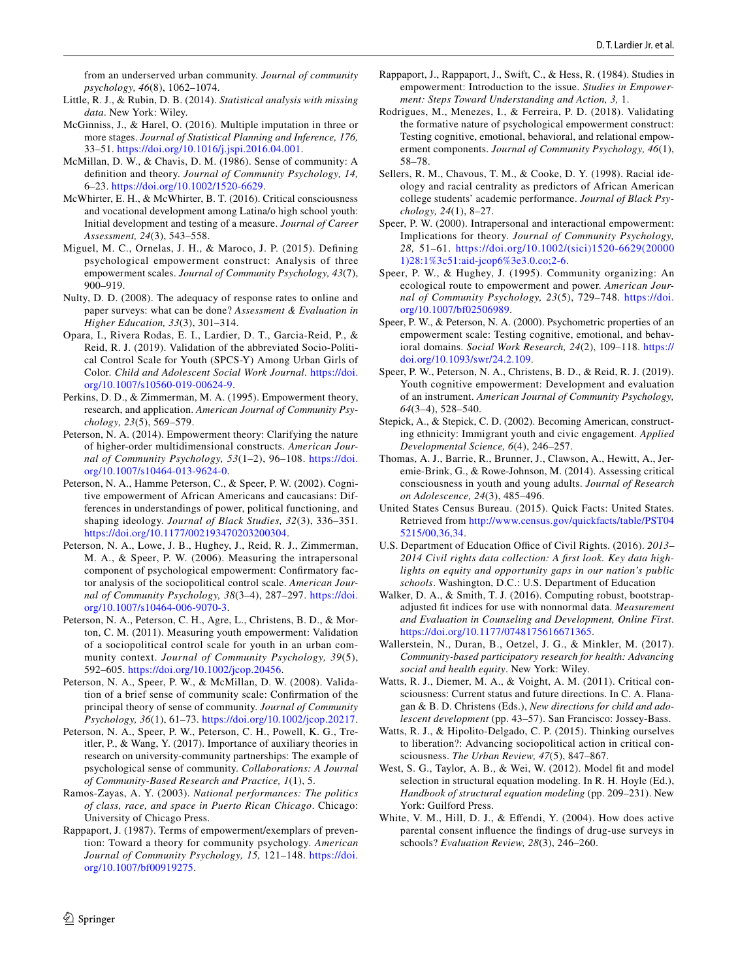from an underserved urban community. *Journal of community psychology, 46*(8), 1062–1074.

- <span id="page-13-24"></span>Little, R. J., & Rubin, D. B. (2014). *Statistical analysis with missing data*. New York: Wiley.
- <span id="page-13-25"></span>McGinniss, J., & Harel, O. (2016). Multiple imputation in three or more stages. *Journal of Statistical Planning and Inference, 176,* 33–51. [https://doi.org/10.1016/j.jspi.2016.04.001.](https://doi.org/10.1016/j.jspi.2016.04.001)
- <span id="page-13-22"></span>McMillan, D. W., & Chavis, D. M. (1986). Sense of community: A defnition and theory. *Journal of Community Psychology, 14,* 6–23.<https://doi.org/10.1002/1520-6629>.
- <span id="page-13-14"></span>McWhirter, E. H., & McWhirter, B. T. (2016). Critical consciousness and vocational development among Latina/o high school youth: Initial development and testing of a measure. *Journal of Career Assessment, 24*(3), 543–558.
- <span id="page-13-15"></span>Miguel, M. C., Ornelas, J. H., & Maroco, J. P. (2015). Defning psychological empowerment construct: Analysis of three empowerment scales. *Journal of Community Psychology, 43*(7), 900–919.
- <span id="page-13-19"></span>Nulty, D. D. (2008). The adequacy of response rates to online and paper surveys: what can be done? *Assessment & Evaluation in Higher Education, 33*(3), 301–314.
- <span id="page-13-30"></span>Opara, I., Rivera Rodas, E. I., Lardier, D. T., Garcia-Reid, P., & Reid, R. J. (2019). Validation of the abbreviated Socio-Political Control Scale for Youth (SPCS-Y) Among Urban Girls of Color. *Child and Adolescent Social Work Journal*. [https://doi.](https://doi.org/10.1007/s10560-019-00624-9) [org/10.1007/s10560-019-00624-9.](https://doi.org/10.1007/s10560-019-00624-9)
- <span id="page-13-8"></span>Perkins, D. D., & Zimmerman, M. A. (1995). Empowerment theory, research, and application. *American Journal of Community Psychology, 23*(5), 569–579.
- <span id="page-13-3"></span>Peterson, N. A. (2014). Empowerment theory: Clarifying the nature of higher-order multidimensional constructs. *American Journal of Community Psychology, 53*(1–2), 96–108. [https://doi.](https://doi.org/10.1007/s10464-013-9624-0) [org/10.1007/s10464-013-9624-0](https://doi.org/10.1007/s10464-013-9624-0).
- <span id="page-13-4"></span>Peterson, N. A., Hamme Peterson, C., & Speer, P. W. (2002). Cognitive empowerment of African Americans and caucasians: Differences in understandings of power, political functioning, and shaping ideology. *Journal of Black Studies, 32*(3), 336–351. <https://doi.org/10.1177/002193470203200304>.
- <span id="page-13-20"></span>Peterson, N. A., Lowe, J. B., Hughey, J., Reid, R. J., Zimmerman, M. A., & Speer, P. W. (2006). Measuring the intrapersonal component of psychological empowerment: Confrmatory factor analysis of the sociopolitical control scale. *American Journal of Community Psychology, 38*(3–4), 287–297. [https://doi.](https://doi.org/10.1007/s10464-006-9070-3) [org/10.1007/s10464-006-9070-3](https://doi.org/10.1007/s10464-006-9070-3).
- <span id="page-13-21"></span>Peterson, N. A., Peterson, C. H., Agre, L., Christens, B. D., & Morton, C. M. (2011). Measuring youth empowerment: Validation of a sociopolitical control scale for youth in an urban community context. *Journal of Community Psychology, 39*(5), 592–605.<https://doi.org/10.1002/jcop.20456>.
- <span id="page-13-23"></span>Peterson, N. A., Speer, P. W., & McMillan, D. W. (2008). Validation of a brief sense of community scale: Confrmation of the principal theory of sense of community. *Journal of Community Psychology, 36*(1), 61–73. [https://doi.org/10.1002/jcop.20217.](https://doi.org/10.1002/jcop.20217)
- <span id="page-13-26"></span>Peterson, N. A., Speer, P. W., Peterson, C. H., Powell, K. G., Treitler, P., & Wang, Y. (2017). Importance of auxiliary theories in research on university-community partnerships: The example of psychological sense of community. *Collaborations: A Journal of Community-Based Research and Practice, 1*(1), 5.
- <span id="page-13-13"></span>Ramos-Zayas, A. Y. (2003). *National performances: The politics of class, race, and space in Puerto Rican Chicago*. Chicago: University of Chicago Press.
- <span id="page-13-0"></span>Rappaport, J. (1987). Terms of empowerment/exemplars of prevention: Toward a theory for community psychology. *American Journal of Community Psychology, 15,* 121–148. [https://doi.](https://doi.org/10.1007/bf00919275) [org/10.1007/bf00919275](https://doi.org/10.1007/bf00919275).
- <span id="page-13-1"></span>Rappaport, J., Rappaport, J., Swift, C., & Hess, R. (1984). Studies in empowerment: Introduction to the issue. *Studies in Empowerment: Steps Toward Understanding and Action, 3,* 1.
- <span id="page-13-5"></span>Rodrigues, M., Menezes, I., & Ferreira, P. D. (2018). Validating the formative nature of psychological empowerment construct: Testing cognitive, emotional, behavioral, and relational empowerment components. *Journal of Community Psychology, 46*(1), 58–78.
- <span id="page-13-16"></span>Sellers, R. M., Chavous, T. M., & Cooke, D. Y. (1998). Racial ideology and racial centrality as predictors of African American college students' academic performance. *Journal of Black Psychology, 24*(1), 8–27.
- <span id="page-13-9"></span>Speer, P. W. (2000). Intrapersonal and interactional empowerment: Implications for theory. *Journal of Community Psychology, 28,* 51–61. [https://doi.org/10.1002/\(sici\)1520-6629\(20000](https://doi.org/10.1002/(sici)1520-6629(200001)28:1%3c51:aid-jcop6%3e3.0.co;2-6) [1\)28:1%3c51:aid-jcop6%3e3.0.co;2-6](https://doi.org/10.1002/(sici)1520-6629(200001)28:1%3c51:aid-jcop6%3e3.0.co;2-6).
- <span id="page-13-2"></span>Speer, P. W., & Hughey, J. (1995). Community organizing: An ecological route to empowerment and power. *American Journal of Community Psychology, 23*(5), 729–748. [https://doi.](https://doi.org/10.1007/bf02506989) [org/10.1007/bf02506989](https://doi.org/10.1007/bf02506989).
- <span id="page-13-6"></span>Speer, P. W., & Peterson, N. A. (2000). Psychometric properties of an empowerment scale: Testing cognitive, emotional, and behavioral domains. *Social Work Research, 24*(2), 109–118. [https://](https://doi.org/10.1093/swr/24.2.109) [doi.org/10.1093/swr/24.2.109.](https://doi.org/10.1093/swr/24.2.109)
- <span id="page-13-7"></span>Speer, P. W., Peterson, N. A., Christens, B. D., & Reid, R. J. (2019). Youth cognitive empowerment: Development and evaluation of an instrument. *American Journal of Community Psychology, 64*(3–4), 528–540.
- <span id="page-13-29"></span>Stepick, A., & Stepick, C. D. (2002). Becoming American, constructing ethnicity: Immigrant youth and civic engagement. *Applied Developmental Science, 6*(4), 246–257.
- <span id="page-13-12"></span>Thomas, A. J., Barrie, R., Brunner, J., Clawson, A., Hewitt, A., Jeremie-Brink, G., & Rowe-Johnson, M. (2014). Assessing critical consciousness in youth and young adults. *Journal of Research on Adolescence, 24*(3), 485–496.
- <span id="page-13-17"></span>United States Census Bureau. (2015). Quick Facts: United States. Retrieved from [http://www.census.gov/quickfacts/table/PST04](http://www.census.gov/quickfacts/table/PST045215/00%2c36%2c34) [5215/00,36,34](http://www.census.gov/quickfacts/table/PST045215/00%2c36%2c34).
- <span id="page-13-18"></span>U.S. Department of Education Office of Civil Rights. (2016). 2013– *2014 Civil rights data collection: A frst look. Key data highlights on equity and opportunity gaps in our nation's public schools*. Washington, D.C.: U.S. Department of Education
- <span id="page-13-28"></span>Walker, D. A., & Smith, T. J. (2016). Computing robust, bootstrapadjusted ft indices for use with nonnormal data. *Measurement and Evaluation in Counseling and Development, Online First*. [https://doi.org/10.1177/0748175616671365.](https://doi.org/10.1177/0748175616671365)
- <span id="page-13-31"></span>Wallerstein, N., Duran, B., Oetzel, J. G., & Minkler, M. (2017). *Community-based participatory research for health: Advancing social and health equity*. New York: Wiley.
- <span id="page-13-10"></span>Watts, R. J., Diemer, M. A., & Voight, A. M. (2011). Critical consciousness: Current status and future directions. In C. A. Flanagan & B. D. Christens (Eds.), *New directions for child and adolescent development* (pp. 43–57). San Francisco: Jossey-Bass.
- <span id="page-13-11"></span>Watts, R. J., & Hipolito-Delgado, C. P. (2015). Thinking ourselves to liberation?: Advancing sociopolitical action in critical consciousness. *The Urban Review, 47*(5), 847–867.
- <span id="page-13-27"></span>West, S. G., Taylor, A. B., & Wei, W. (2012). Model ft and model selection in structural equation modeling. In R. H. Hoyle (Ed.), *Handbook of structural equation modeling* (pp. 209–231). New York: Guilford Press.
- <span id="page-13-32"></span>White, V. M., Hill, D. J., & Efendi, Y. (2004). How does active parental consent infuence the fndings of drug-use surveys in schools? *Evaluation Review, 28*(3), 246–260.